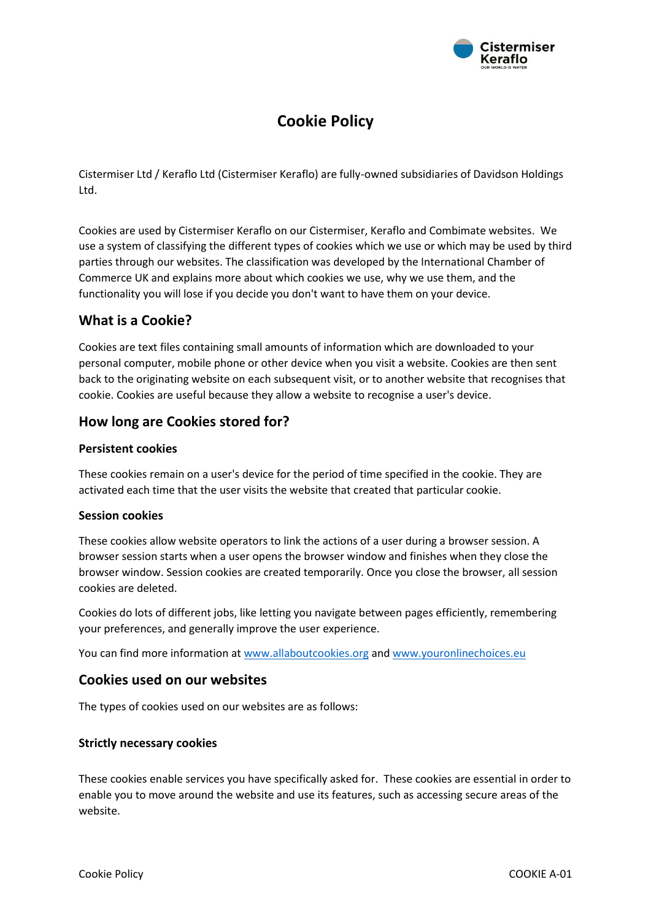

# **Cookie Policy**

Cistermiser Ltd / Keraflo Ltd (Cistermiser Keraflo) are fully-owned subsidiaries of Davidson Holdings Ltd.

Cookies are used by Cistermiser Keraflo on our Cistermiser, Keraflo and Combimate websites. We use a system of classifying the different types of cookies which we use or which may be used by third parties through our websites. The classification was developed by the International Chamber of Commerce UK and explains more about which cookies we use, why we use them, and the functionality you will lose if you decide you don't want to have them on your device.

# **What is a Cookie?**

Cookies are text files containing small amounts of information which are downloaded to your personal computer, mobile phone or other device when you visit a website. Cookies are then sent back to the originating website on each subsequent visit, or to another website that recognises that cookie. Cookies are useful because they allow a website to recognise a user's device.

# **How long are Cookies stored for?**

### **Persistent cookies**

These cookies remain on a user's device for the period of time specified in the cookie. They are activated each time that the user visits the website that created that particular cookie.

#### **Session cookies**

These cookies allow website operators to link the actions of a user during a browser session. A browser session starts when a user opens the browser window and finishes when they close the browser window. Session cookies are created temporarily. Once you close the browser, all session cookies are deleted.

Cookies do lots of different jobs, like letting you navigate between pages efficiently, remembering your preferences, and generally improve the user experience.

You can find more information at [www.allaboutcookies.org](http://www.allaboutcookies.org/) and [www.youronlinechoices.eu](http://www.youronlinechoices.eu/)

# **Cookies used on our websites**

The types of cookies used on our websites are as follows:

#### **Strictly necessary cookies**

These cookies enable services you have specifically asked for. These cookies are essential in order to enable you to move around the website and use its features, such as accessing secure areas of the website.